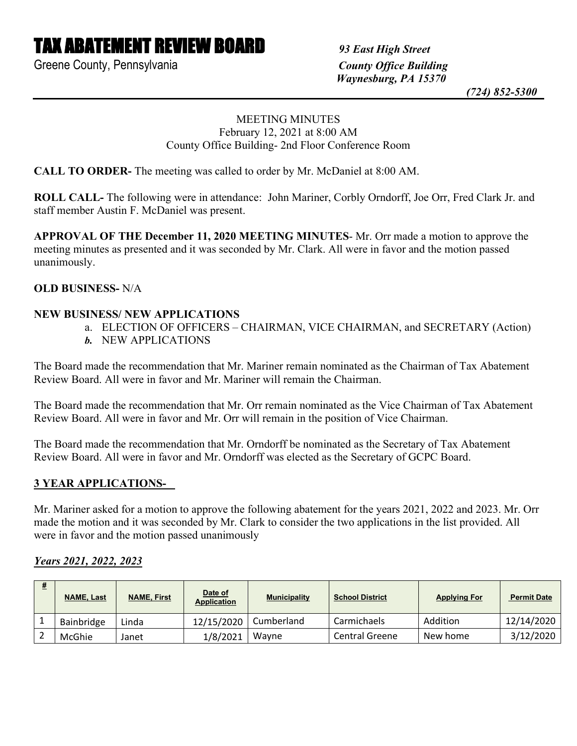# TAX ABATEMENT REVIEW BOARD *93 East High Street*

Greene County, Pennsylvania *County Office Building*

 *Waynesburg, PA 15370*

 *(724) 852-5300*

## MEETING MINUTES February 12, 2021 at 8:00 AM County Office Building- 2nd Floor Conference Room

**CALL TO ORDER-** The meeting was called to order by Mr. McDaniel at 8:00 AM.

**ROLL CALL-** The following were in attendance: John Mariner, Corbly Orndorff, Joe Orr, Fred Clark Jr. and staff member Austin F. McDaniel was present.

**APPROVAL OF THE December 11, 2020 MEETING MINUTES**- Mr. Orr made a motion to approve the meeting minutes as presented and it was seconded by Mr. Clark. All were in favor and the motion passed unanimously.

## **OLD BUSINESS-** N/A

## **NEW BUSINESS/ NEW APPLICATIONS**

- a. ELECTION OF OFFICERS CHAIRMAN, VICE CHAIRMAN, and SECRETARY (Action)
- *b.* NEW APPLICATIONS

The Board made the recommendation that Mr. Mariner remain nominated as the Chairman of Tax Abatement Review Board. All were in favor and Mr. Mariner will remain the Chairman.

The Board made the recommendation that Mr. Orr remain nominated as the Vice Chairman of Tax Abatement Review Board. All were in favor and Mr. Orr will remain in the position of Vice Chairman.

The Board made the recommendation that Mr. Orndorff be nominated as the Secretary of Tax Abatement Review Board. All were in favor and Mr. Orndorff was elected as the Secretary of GCPC Board.

## **3 YEAR APPLICATIONS-**

Mr. Mariner asked for a motion to approve the following abatement for the years 2021, 2022 and 2023. Mr. Orr made the motion and it was seconded by Mr. Clark to consider the two applications in the list provided. All were in favor and the motion passed unanimously

## *Years 2021, 2022, 2023*

| <b>NAME, Last</b> | <b>NAME, First</b> | Date of<br><b>Application</b> | <b>Municipality</b> | <b>School District</b> | <b>Applying For</b> | <b>Permit Date</b> |
|-------------------|--------------------|-------------------------------|---------------------|------------------------|---------------------|--------------------|
| Bainbridge        | Linda              | 12/15/2020                    | Cumberland          | Carmichaels            | Addition            | 12/14/2020         |
| McGhie            | Janet              | 1/8/2021                      | Wavne               | <b>Central Greene</b>  | New home            | 3/12/2020          |